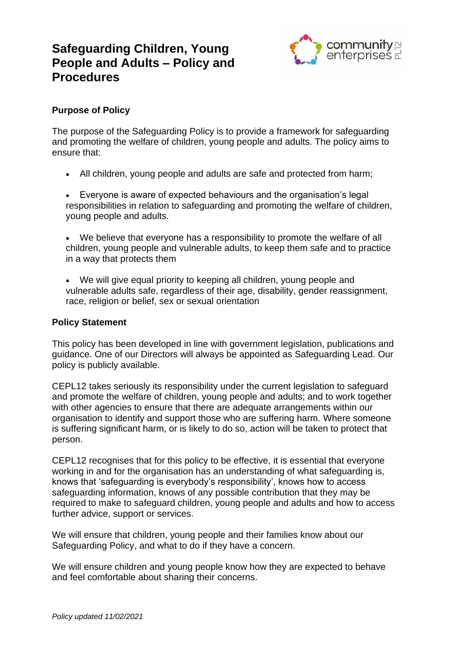# **Safeguarding Children, Young People and Adults – Policy and Procedures**



## **Purpose of Policy**

The purpose of the Safeguarding Policy is to provide a framework for safeguarding and promoting the welfare of children, young people and adults. The policy aims to ensure that:

- All children, young people and adults are safe and protected from harm;
- Everyone is aware of expected behaviours and the organisation's legal responsibilities in relation to safeguarding and promoting the welfare of children, young people and adults.
- We believe that everyone has a responsibility to promote the welfare of all children, young people and vulnerable adults, to keep them safe and to practice in a way that protects them
- We will give equal priority to keeping all children, young people and vulnerable adults safe, regardless of their age, disability, gender reassignment, race, religion or belief, sex or sexual orientation

## **Policy Statement**

This policy has been developed in line with government legislation, publications and guidance. One of our Directors will always be appointed as Safeguarding Lead. Our policy is publicly available.

CEPL12 takes seriously its responsibility under the current legislation to safeguard and promote the welfare of children, young people and adults; and to work together with other agencies to ensure that there are adequate arrangements within our organisation to identify and support those who are suffering harm. Where someone is suffering significant harm, or is likely to do so, action will be taken to protect that person.

CEPL12 recognises that for this policy to be effective, it is essential that everyone working in and for the organisation has an understanding of what safeguarding is, knows that 'safeguarding is everybody's responsibility', knows how to access safeguarding information, knows of any possible contribution that they may be required to make to safeguard children, young people and adults and how to access further advice, support or services.

We will ensure that children, young people and their families know about our Safeguarding Policy, and what to do if they have a concern.

We will ensure children and young people know how they are expected to behave and feel comfortable about sharing their concerns.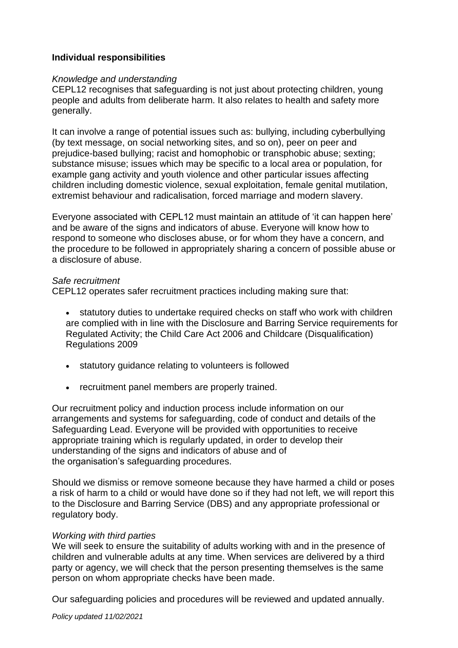## **Individual responsibilities**

#### *Knowledge and understanding*

CEPL12 recognises that safeguarding is not just about protecting children, young people and adults from deliberate harm. It also relates to health and safety more generally.

It can involve a range of potential issues such as: bullying, including cyberbullying (by text message, on social networking sites, and so on), peer on peer and prejudice-based bullying; racist and homophobic or transphobic abuse; sexting; substance misuse; issues which may be specific to a local area or population, for example gang activity and youth violence and other particular issues affecting children including domestic violence, sexual exploitation, female genital mutilation, extremist behaviour and radicalisation, forced marriage and modern slavery.

Everyone associated with CEPL12 must maintain an attitude of 'it can happen here' and be aware of the signs and indicators of abuse. Everyone will know how to respond to someone who discloses abuse, or for whom they have a concern, and the procedure to be followed in appropriately sharing a concern of possible abuse or a disclosure of abuse.

#### *Safe recruitment*

CEPL12 operates safer recruitment practices including making sure that:

- statutory duties to undertake required checks on staff who work with children are complied with in line with the Disclosure and Barring Service requirements for Regulated Activity; the Child Care Act 2006 and Childcare (Disqualification) Regulations 2009
- statutory guidance relating to volunteers is followed
- recruitment panel members are properly trained.

Our recruitment policy and induction process include information on our arrangements and systems for safeguarding, code of conduct and details of the Safeguarding Lead. Everyone will be provided with opportunities to receive appropriate training which is regularly updated, in order to develop their understanding of the signs and indicators of abuse and of the organisation's safeguarding procedures.

Should we dismiss or remove someone because they have harmed a child or poses a risk of harm to a child or would have done so if they had not left, we will report this to the Disclosure and Barring Service (DBS) and any appropriate professional or regulatory body.

#### *Working with third parties*

We will seek to ensure the suitability of adults working with and in the presence of children and vulnerable adults at any time. When services are delivered by a third party or agency, we will check that the person presenting themselves is the same person on whom appropriate checks have been made.

Our safeguarding policies and procedures will be reviewed and updated annually.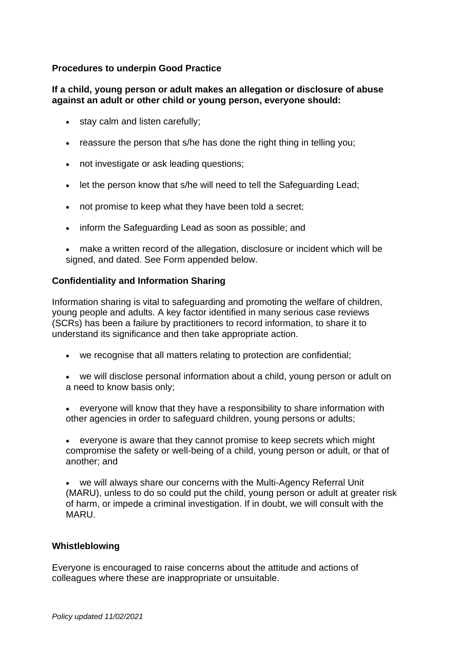## **Procedures to underpin Good Practice**

#### **If a child, young person or adult makes an allegation or disclosure of abuse against an adult or other child or young person, everyone should:**

- stay calm and listen carefully;
- reassure the person that s/he has done the right thing in telling you;
- not investigate or ask leading questions;
- let the person know that s/he will need to tell the Safeguarding Lead;
- not promise to keep what they have been told a secret;
- inform the Safeguarding Lead as soon as possible; and
- make a written record of the allegation, disclosure or incident which will be signed, and dated. See Form appended below.

## **Confidentiality and Information Sharing**

Information sharing is vital to safeguarding and promoting the welfare of children, young people and adults. A key factor identified in many serious case reviews (SCRs) has been a failure by practitioners to record information, to share it to understand its significance and then take appropriate action.

- we recognise that all matters relating to protection are confidential;
- we will disclose personal information about a child, young person or adult on a need to know basis only;
- everyone will know that they have a responsibility to share information with other agencies in order to safeguard children, young persons or adults;
- everyone is aware that they cannot promise to keep secrets which might compromise the safety or well-being of a child, young person or adult, or that of another; and

we will always share our concerns with the Multi-Agency Referral Unit (MARU), unless to do so could put the child, young person or adult at greater risk of harm, or impede a criminal investigation. If in doubt, we will consult with the MARU.

#### **Whistleblowing**

Everyone is encouraged to raise concerns about the attitude and actions of colleagues where these are inappropriate or unsuitable.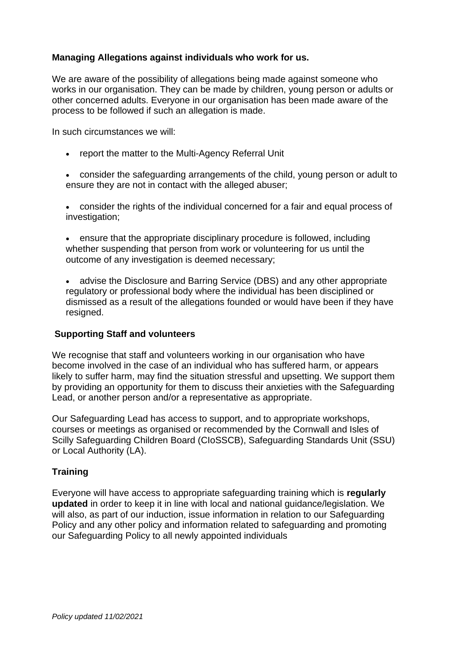## **Managing Allegations against individuals who work for us.**

We are aware of the possibility of allegations being made against someone who works in our organisation. They can be made by children, young person or adults or other concerned adults. Everyone in our organisation has been made aware of the process to be followed if such an allegation is made.

In such circumstances we will:

- report the matter to the Multi-Agency Referral Unit
- consider the safeguarding arrangements of the child, young person or adult to ensure they are not in contact with the alleged abuser;
- consider the rights of the individual concerned for a fair and equal process of investigation;
- ensure that the appropriate disciplinary procedure is followed, including whether suspending that person from work or volunteering for us until the outcome of any investigation is deemed necessary;
- advise the Disclosure and Barring Service (DBS) and any other appropriate regulatory or professional body where the individual has been disciplined or dismissed as a result of the allegations founded or would have been if they have resigned.

#### **Supporting Staff and volunteers**

We recognise that staff and volunteers working in our organisation who have become involved in the case of an individual who has suffered harm, or appears likely to suffer harm, may find the situation stressful and upsetting. We support them by providing an opportunity for them to discuss their anxieties with the Safeguarding Lead, or another person and/or a representative as appropriate.

Our Safeguarding Lead has access to support, and to appropriate workshops, courses or meetings as organised or recommended by the Cornwall and Isles of Scilly Safeguarding Children Board (CIoSSCB), Safeguarding Standards Unit (SSU) or Local Authority (LA).

## **Training**

Everyone will have access to appropriate safeguarding training which is **regularly updated** in order to keep it in line with local and national guidance/legislation. We will also, as part of our induction, issue information in relation to our Safeguarding Policy and any other policy and information related to safeguarding and promoting our Safeguarding Policy to all newly appointed individuals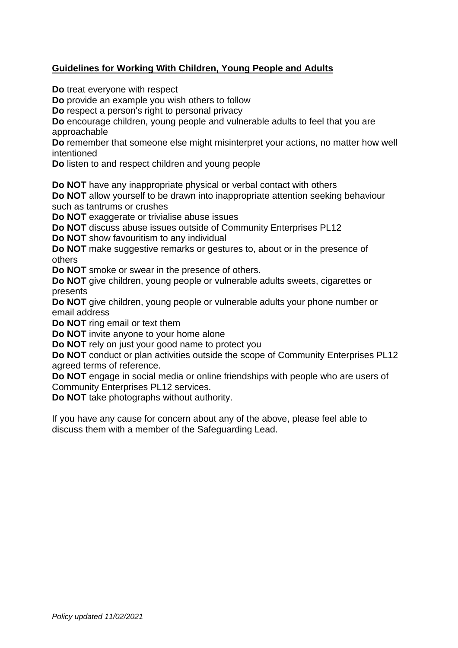## **Guidelines for Working With Children, Young People and Adults**

**Do** treat everyone with respect

**Do** provide an example you wish others to follow

**Do** respect a person's right to personal privacy

**Do** encourage children, young people and vulnerable adults to feel that you are approachable

**Do** remember that someone else might misinterpret your actions, no matter how well intentioned

**Do** listen to and respect children and young people

**Do NOT** have any inappropriate physical or verbal contact with others

**Do NOT** allow yourself to be drawn into inappropriate attention seeking behaviour such as tantrums or crushes

**Do NOT** exaggerate or trivialise abuse issues

**Do NOT** discuss abuse issues outside of Community Enterprises PL12

**Do NOT** show favouritism to any individual

**Do NOT** make suggestive remarks or gestures to, about or in the presence of others

**Do NOT** smoke or swear in the presence of others.

**Do NOT** give children, young people or vulnerable adults sweets, cigarettes or presents

**Do NOT** give children, young people or vulnerable adults your phone number or email address

**Do NOT** ring email or text them

**Do NOT** invite anyone to your home alone

**Do NOT** rely on just your good name to protect you

**Do NOT** conduct or plan activities outside the scope of Community Enterprises PL12 agreed terms of reference.

**Do NOT** engage in social media or online friendships with people who are users of Community Enterprises PL12 services.

**Do NOT** take photographs without authority.

If you have any cause for concern about any of the above, please feel able to discuss them with a member of the Safeguarding Lead.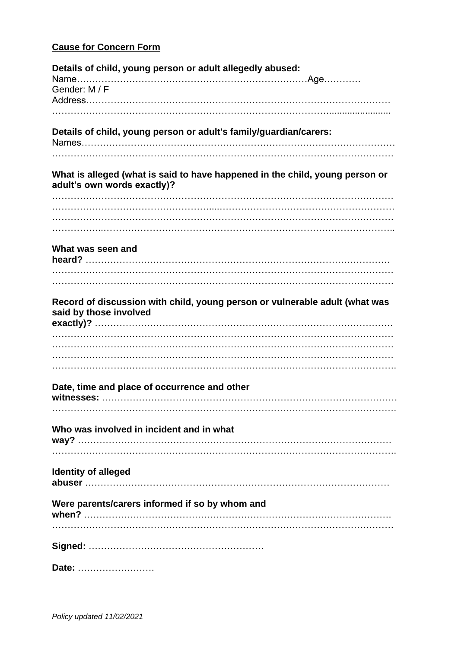## **Cause for Concern Form**

| Details of child, young person or adult allegedly abused:                                                   |
|-------------------------------------------------------------------------------------------------------------|
| Gender: M / F                                                                                               |
|                                                                                                             |
| Details of child, young person or adult's family/guardian/carers:                                           |
| What is alleged (what is said to have happened in the child, young person or<br>adult's own words exactly)? |
|                                                                                                             |
|                                                                                                             |
| What was seen and                                                                                           |
|                                                                                                             |
| Record of discussion with child, young person or vulnerable adult (what was<br>said by those involved       |
|                                                                                                             |
|                                                                                                             |
| Date, time and place of occurrence and other                                                                |
|                                                                                                             |
| Who was involved in incident and in what                                                                    |
| <b>Identity of alleged</b>                                                                                  |
| Were parents/carers informed if so by whom and                                                              |
|                                                                                                             |
| Date:                                                                                                       |